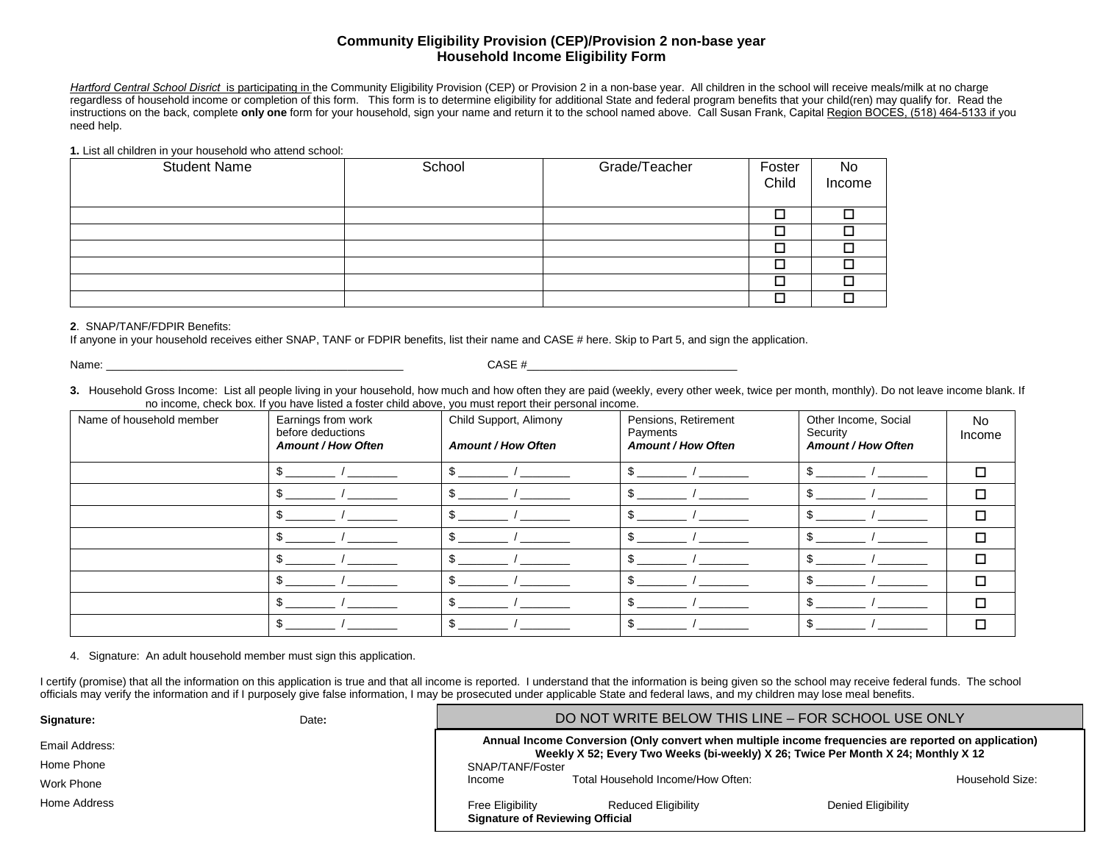## **Community Eligibility Provision (CEP)/Provision 2 non-base year Household Income Eligibility Form**

Hartford Central School Disrict is participating in the Community Eligibility Provision (CEP) or Provision 2 in a non-base year. All children in the school will receive meals/milk at no charge regardless of household income or completion of this form. This form is to determine eligibility for additional State and federal program benefits that your child(ren) may qualify for. Read the instructions on the back, complete **only one** form for your household, sign your name and return it to the school named above. Call Susan Frank, Capital Region BOCES, (518) 464-5133 if you need help.

**1.** List all children in your household who attend school:

| <b>Student Name</b> | School | Grade/Teacher | Foster | No     |
|---------------------|--------|---------------|--------|--------|
|                     |        |               | Child  | Income |
|                     |        |               |        |        |
|                     |        |               |        |        |
|                     |        |               |        |        |
|                     |        |               |        |        |
|                     |        |               |        |        |
|                     |        |               |        |        |
|                     |        |               |        |        |

## **2**. SNAP/TANF/FDPIR Benefits:

If anyone in your household receives either SNAP, TANF or FDPIR benefits, list their name and CASE # here. Skip to Part 5, and sign the application.

Name: \_\_\_\_\_\_\_\_\_\_\_\_\_\_\_\_\_\_\_\_\_\_\_\_\_\_\_\_\_\_\_\_\_\_\_\_\_\_\_\_\_\_\_\_\_\_\_\_ CASE #\_\_\_\_\_\_\_\_\_\_\_\_\_\_\_\_\_\_\_\_\_\_\_\_\_\_\_\_\_\_\_\_\_\_

**3.** Household Gross Income: List all people living in your household, how much and how often they are paid (weekly, every other week, twice per month, monthly). Do not leave income blank. If no income, check box. If you have listed a foster child above, you must report their personal income.

| Name of household member | Earnings from work<br>before deductions<br><b>Amount / How Often</b> | Child Support, Alimony<br><b>Amount / How Often</b> | Pensions, Retirement<br>Payments<br><b>Amount / How Often</b> | Other Income, Social<br>Security<br><b>Amount / How Often</b> | No<br>Income |
|--------------------------|----------------------------------------------------------------------|-----------------------------------------------------|---------------------------------------------------------------|---------------------------------------------------------------|--------------|
|                          |                                                                      |                                                     |                                                               |                                                               |              |
|                          |                                                                      |                                                     |                                                               |                                                               |              |
|                          |                                                                      |                                                     | л                                                             |                                                               |              |
|                          |                                                                      |                                                     |                                                               |                                                               |              |
|                          |                                                                      |                                                     | л                                                             |                                                               |              |
|                          |                                                                      |                                                     |                                                               |                                                               |              |
|                          |                                                                      |                                                     |                                                               |                                                               |              |
|                          |                                                                      |                                                     |                                                               |                                                               |              |

4. Signature: An adult household member must sign this application.

I certify (promise) that all the information on this application is true and that all income is reported. I understand that the information is being given so the school may receive federal funds. The school officials may verify the information and if I purposely give false information, I may be prosecuted under applicable State and federal laws, and my children may lose meal benefits.

| Signature:     | Date: | DO NOT WRITE BELOW THIS LINE - FOR SCHOOL USE ONLY         |                                                                                                                                                                                           |                    |                 |
|----------------|-------|------------------------------------------------------------|-------------------------------------------------------------------------------------------------------------------------------------------------------------------------------------------|--------------------|-----------------|
| Email Address: |       |                                                            | Annual Income Conversion (Only convert when multiple income frequencies are reported on application)<br>Weekly X 52; Every Two Weeks (bi-weekly) X 26; Twice Per Month X 24; Monthly X 12 |                    |                 |
| Home Phone     |       | SNAP/TANF/Foster                                           |                                                                                                                                                                                           |                    |                 |
| Work Phone     |       | Income                                                     | Total Household Income/How Often:                                                                                                                                                         |                    | Household Size: |
| Home Address   |       | Free Eligibility<br><b>Signature of Reviewing Official</b> | <b>Reduced Eligibility</b>                                                                                                                                                                | Denied Eligibility |                 |